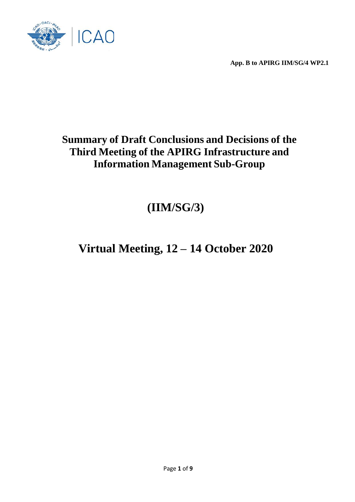

# **Summary of Draft Conclusions and Decisions of the Third Meeting of the APIRG Infrastructure and Information Management Sub-Group**

# **(IIM/SG/3)**

# **Virtual Meeting, 12 – 14 October 2020**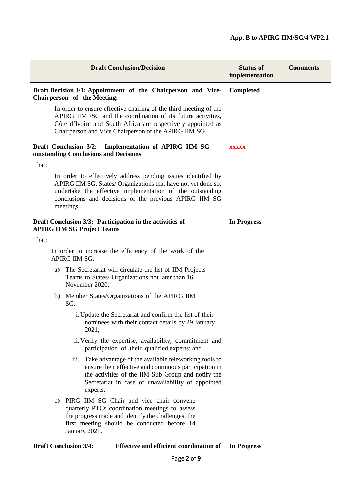| <b>Draft Conclusion/Decision</b>                                                                                                                                                                                                                                   | <b>Status of</b><br>implementation | <b>Comments</b> |
|--------------------------------------------------------------------------------------------------------------------------------------------------------------------------------------------------------------------------------------------------------------------|------------------------------------|-----------------|
| Draft Decision 3/1: Appointment of the Chairperson and Vice-<br>Chairperson of the Meeting:                                                                                                                                                                        | Completed                          |                 |
| In order to ensure effective chairing of the third meeting of the<br>APIRG IIM /SG and the coordination of its future activities,<br>Côte d'Ivoire and South Africa are respectively appointed as<br>Chairperson and Vice Chairperson of the APIRG IIM SG.         |                                    |                 |
| Draft Conclusion 3/2:<br>Implementation of APIRG IIM SG<br>outstanding Conclusions and Decisions                                                                                                                                                                   | <b>XXXXX</b>                       |                 |
| That;                                                                                                                                                                                                                                                              |                                    |                 |
| In order to effectively address pending issues identified by<br>APIRG IIM SG, States/ Organizations that have not yet done so,<br>undertake the effective implementation of the outstanding<br>conclusions and decisions of the previous APIRG IIM SG<br>meetings. |                                    |                 |
| Draft Conclusion 3/3: Participation in the activities of<br><b>APIRG IIM SG Project Teams</b>                                                                                                                                                                      | <b>In Progress</b>                 |                 |
| That;                                                                                                                                                                                                                                                              |                                    |                 |
| In order to increase the efficiency of the work of the<br><b>APIRG IIM SG:</b>                                                                                                                                                                                     |                                    |                 |
| The Secretariat will circulate the list of IIM Projects<br>a)<br>Teams to States/ Organizations not later than 16<br>November 2020;                                                                                                                                |                                    |                 |
| b) Member States/Organizations of the APIRG IIM<br>SG:                                                                                                                                                                                                             |                                    |                 |
| i. Update the Secretariat and confirm the list of their<br>nominees with their contact details by 29 January<br>2021;                                                                                                                                              |                                    |                 |
| ii. Verify the expertise, availability, commitment and<br>participation of their qualified experts; and                                                                                                                                                            |                                    |                 |
| iii. Take advantage of the available teleworking tools to<br>ensure their effective and continuous participation in<br>the activities of the IIM Sub Group and notify the<br>Secretariat in case of unavailability of appointed<br>experts.                        |                                    |                 |
| PIRG IIM SG Chair and vice chair convene<br>c)<br>quarterly PTCs coordination meetings to assess<br>the progress made and identify the challenges, the<br>first meeting should be conducted before 14<br>January 2021.                                             |                                    |                 |
| <b>Draft Conclusion 3/4:</b><br><b>Effective and efficient coordination of</b>                                                                                                                                                                                     | <b>In Progress</b>                 |                 |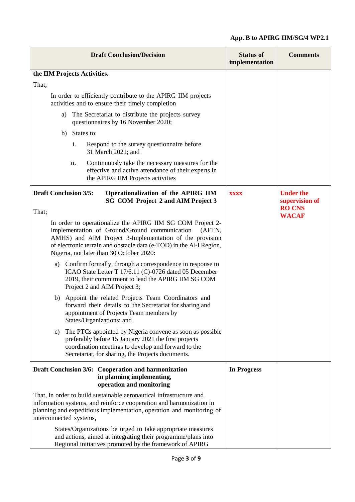| <b>Draft Conclusion/Decision</b>                                                                                                                                                                                                                                                                   | <b>Status of</b><br>implementation | <b>Comments</b>                    |
|----------------------------------------------------------------------------------------------------------------------------------------------------------------------------------------------------------------------------------------------------------------------------------------------------|------------------------------------|------------------------------------|
| the IIM Projects Activities.                                                                                                                                                                                                                                                                       |                                    |                                    |
| That;                                                                                                                                                                                                                                                                                              |                                    |                                    |
| In order to efficiently contribute to the APIRG IIM projects<br>activities and to ensure their timely completion                                                                                                                                                                                   |                                    |                                    |
| The Secretariat to distribute the projects survey<br>a)<br>questionnaires by 16 November 2020;                                                                                                                                                                                                     |                                    |                                    |
| States to:<br>b)                                                                                                                                                                                                                                                                                   |                                    |                                    |
| i.<br>Respond to the survey questionnaire before<br>31 March 2021; and                                                                                                                                                                                                                             |                                    |                                    |
| ii.<br>Continuously take the necessary measures for the<br>effective and active attendance of their experts in<br>the APIRG IIM Projects activities                                                                                                                                                |                                    |                                    |
| <b>Draft Conclusion 3/5:</b><br>Operationalization of the APIRG IIM<br>SG COM Project 2 and AIM Project 3                                                                                                                                                                                          | <b>XXXX</b>                        | <b>Under the</b><br>supervision of |
| That;                                                                                                                                                                                                                                                                                              |                                    | <b>RO CNS</b><br><b>WACAF</b>      |
| In order to operationalize the APIRG IIM SG COM Project 2-<br>Implementation of Ground/Ground communication<br>(AFTN,<br>AMHS) and AIM Project 3-Implementation of the provision<br>of electronic terrain and obstacle data (e-TOD) in the AFI Region,<br>Nigeria, not later than 30 October 2020: |                                    |                                    |
| Confirm formally, through a correspondence in response to<br>a)<br>ICAO State Letter T 17/6.11 (C)-0726 dated 05 December<br>2019, their commitment to lead the APIRG IIM SG COM<br>Project 2 and AIM Project 3;                                                                                   |                                    |                                    |
| b) Appoint the related Projects Team Coordinators and<br>forward their details to the Secretariat for sharing and<br>appointment of Projects Team members by<br>States/Organizations; and                                                                                                          |                                    |                                    |
| The PTCs appointed by Nigeria convene as soon as possible<br>c)<br>preferably before 15 January 2021 the first projects<br>coordination meetings to develop and forward to the<br>Secretariat, for sharing, the Projects documents.                                                                |                                    |                                    |
| Draft Conclusion 3/6: Cooperation and harmonization<br>in planning implementing,<br>operation and monitoring                                                                                                                                                                                       | <b>In Progress</b>                 |                                    |
| That, In order to build sustainable aeronautical infrastructure and<br>information systems, and reinforce cooperation and harmonization in<br>planning and expeditious implementation, operation and monitoring of<br>interconnected systems,                                                      |                                    |                                    |
| States/Organizations be urged to take appropriate measures<br>and actions, aimed at integrating their programme/plans into<br>Regional initiatives promoted by the framework of APIRG                                                                                                              |                                    |                                    |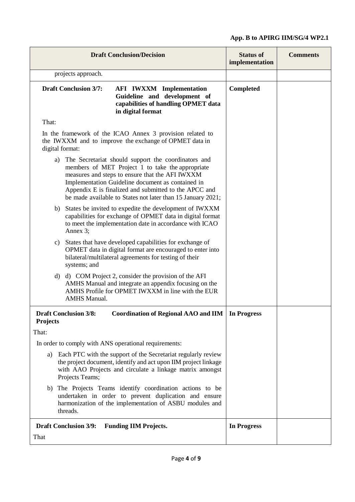| <b>Draft Conclusion/Decision</b>                                                                                                                                                                                                                                               |                              | <b>Status of</b><br>implementation                                                                                                                                                                                                                                                                                                      | <b>Comments</b>    |  |
|--------------------------------------------------------------------------------------------------------------------------------------------------------------------------------------------------------------------------------------------------------------------------------|------------------------------|-----------------------------------------------------------------------------------------------------------------------------------------------------------------------------------------------------------------------------------------------------------------------------------------------------------------------------------------|--------------------|--|
|                                                                                                                                                                                                                                                                                | projects approach.           |                                                                                                                                                                                                                                                                                                                                         |                    |  |
| <b>Draft Conclusion 3/7:</b>                                                                                                                                                                                                                                                   |                              | <b>AFI IWXXM Implementation</b><br>Guideline and development of<br>capabilities of handling OPMET data<br>in digital format                                                                                                                                                                                                             | Completed          |  |
| That:                                                                                                                                                                                                                                                                          |                              |                                                                                                                                                                                                                                                                                                                                         |                    |  |
| digital format:                                                                                                                                                                                                                                                                |                              | In the framework of the ICAO Annex 3 provision related to<br>the IWXXM and to improve the exchange of OPMET data in                                                                                                                                                                                                                     |                    |  |
| a)                                                                                                                                                                                                                                                                             |                              | The Secretariat should support the coordinators and<br>members of MET Project 1 to take the appropriate<br>measures and steps to ensure that the AFI IWXXM<br>Implementation Guideline document as contained in<br>Appendix E is finalized and submitted to the APCC and<br>be made available to States not later than 15 January 2021; |                    |  |
| b)                                                                                                                                                                                                                                                                             | Annex 3;                     | States be invited to expedite the development of IWXXM<br>capabilities for exchange of OPMET data in digital format<br>to meet the implementation date in accordance with ICAO                                                                                                                                                          |                    |  |
| c)                                                                                                                                                                                                                                                                             | systems; and                 | States that have developed capabilities for exchange of<br>OPMET data in digital format are encouraged to enter into<br>bilateral/multilateral agreements for testing of their                                                                                                                                                          |                    |  |
|                                                                                                                                                                                                                                                                                | <b>AMHS Manual.</b>          | d) d) COM Project 2, consider the provision of the AFI<br>AMHS Manual and integrate an appendix focusing on the<br>AMHS Profile for OPMET IWXXM in line with the EUR                                                                                                                                                                    |                    |  |
| Coordination of Regional AAO and IIM<br><b>Draft Conclusion 3/8:</b><br><b>Projects</b>                                                                                                                                                                                        |                              |                                                                                                                                                                                                                                                                                                                                         | In Progress        |  |
| That:                                                                                                                                                                                                                                                                          |                              |                                                                                                                                                                                                                                                                                                                                         |                    |  |
| In order to comply with ANS operational requirements:<br>Each PTC with the support of the Secretariat regularly review<br>a)<br>the project document, identify and act upon IIM project linkage<br>with AAO Projects and circulate a linkage matrix amongst<br>Projects Teams; |                              |                                                                                                                                                                                                                                                                                                                                         |                    |  |
| The Projects Teams identify coordination actions to be<br>b)<br>undertaken in order to prevent duplication and ensure<br>harmonization of the implementation of ASBU modules and<br>threads.                                                                                   |                              |                                                                                                                                                                                                                                                                                                                                         |                    |  |
|                                                                                                                                                                                                                                                                                | <b>Draft Conclusion 3/9:</b> | <b>Funding IIM Projects.</b>                                                                                                                                                                                                                                                                                                            | <b>In Progress</b> |  |
| That                                                                                                                                                                                                                                                                           |                              |                                                                                                                                                                                                                                                                                                                                         |                    |  |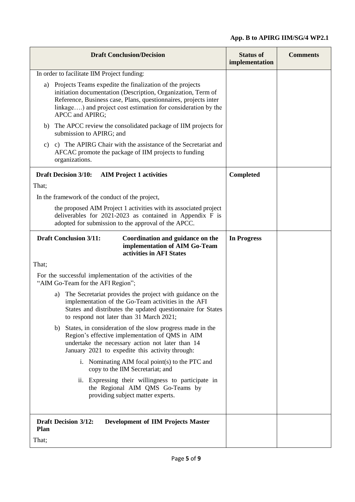| <b>Draft Conclusion/Decision</b>                                                                                                                                                                                                                                                   | <b>Status of</b><br>implementation | <b>Comments</b> |
|------------------------------------------------------------------------------------------------------------------------------------------------------------------------------------------------------------------------------------------------------------------------------------|------------------------------------|-----------------|
| In order to facilitate IIM Project funding:                                                                                                                                                                                                                                        |                                    |                 |
| a) Projects Teams expedite the finalization of the projects<br>initiation documentation (Description, Organization, Term of<br>Reference, Business case, Plans, questionnaires, projects inter<br>linkage) and project cost estimation for consideration by the<br>APCC and APIRG; |                                    |                 |
| The APCC review the consolidated package of IIM projects for<br>b)<br>submission to APIRG; and                                                                                                                                                                                     |                                    |                 |
| c) The APIRG Chair with the assistance of the Secretariat and<br>C)<br>AFCAC promote the package of IIM projects to funding<br>organizations.                                                                                                                                      |                                    |                 |
| <b>Draft Decision 3/10:</b><br><b>AIM Project 1 activities</b>                                                                                                                                                                                                                     | <b>Completed</b>                   |                 |
| That;                                                                                                                                                                                                                                                                              |                                    |                 |
| In the framework of the conduct of the project,                                                                                                                                                                                                                                    |                                    |                 |
| the proposed AIM Project 1 activities with its associated project<br>deliverables for $2021-2023$ as contained in Appendix F is<br>adopted for submission to the approval of the APCC.                                                                                             |                                    |                 |
| <b>Draft Conclusion 3/11:</b><br>Coordination and guidance on the<br>implementation of AIM Go-Team<br>activities in AFI States                                                                                                                                                     | <b>In Progress</b>                 |                 |
| That;                                                                                                                                                                                                                                                                              |                                    |                 |
| For the successful implementation of the activities of the<br>"AIM Go-Team for the AFI Region";                                                                                                                                                                                    |                                    |                 |
| The Secretariat provides the project with guidance on the<br>a)<br>implementation of the Go-Team activities in the AFI<br>States and distributes the updated questionnaire for States<br>to respond not later than 31 March 2021;                                                  |                                    |                 |
| b)<br>States, in consideration of the slow progress made in the<br>Region's effective implementation of QMS in AIM<br>undertake the necessary action not later than 14<br>January 2021 to expedite this activity through:                                                          |                                    |                 |
| i. Nominating AIM focal point(s) to the PTC and<br>copy to the IIM Secretariat; and                                                                                                                                                                                                |                                    |                 |
| ii. Expressing their willingness to participate in<br>the Regional AIM QMS Go-Teams by<br>providing subject matter experts.                                                                                                                                                        |                                    |                 |
| <b>Draft Decision 3/12:</b><br><b>Development of IIM Projects Master</b><br>Plan                                                                                                                                                                                                   |                                    |                 |
| That;                                                                                                                                                                                                                                                                              |                                    |                 |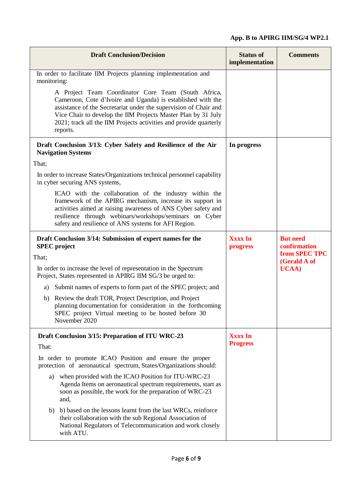| <b>Draft Conclusion/Decision</b>                                                                                                                                                                                                                                                                                                         | <b>Status of</b><br>implementation | <b>Comments</b>                 |
|------------------------------------------------------------------------------------------------------------------------------------------------------------------------------------------------------------------------------------------------------------------------------------------------------------------------------------------|------------------------------------|---------------------------------|
| In order to facilitate IIM Projects planning implementation and<br>monitoring:                                                                                                                                                                                                                                                           |                                    |                                 |
| A Project Team Coordinator Core Team (South Africa,<br>Cameroon, Cote d'Ivoire and Uganda) is established with the<br>assistance of the Secretariat under the supervision of Chair and<br>Vice Chair to develop the IIM Projects Master Plan by 31 July<br>2021; track all the IIM Projects activities and provide quarterly<br>reports. |                                    |                                 |
| Draft Conclusion 3/13: Cyber Safety and Resilience of the Air<br><b>Navigation Systems</b>                                                                                                                                                                                                                                               | In progress                        |                                 |
| That;                                                                                                                                                                                                                                                                                                                                    |                                    |                                 |
| In order to increase States/Organizations technical personnel capability<br>in cyber securing ANS systems,                                                                                                                                                                                                                               |                                    |                                 |
| ICAO with the collaboration of the industry within the<br>framework of the APIRG mechanism, increase its support in<br>activities aimed at raising awareness of ANS Cyber safety and<br>resilience through webinars/workshops/seminars on Cyber<br>safety and resilience of ANS systems for AFI Region.                                  |                                    |                                 |
| Draft Conclusion 3/14: Submission of expert names for the<br><b>SPEC</b> project                                                                                                                                                                                                                                                         | <b>Xxxx In</b><br>progress         | <b>But need</b><br>confirmation |
| That;                                                                                                                                                                                                                                                                                                                                    |                                    | from SPEC TPC<br>(Gerald A of   |
| In order to increase the level of representation in the Spectrum<br>Project, States represented in APIRG IIM SG/3 be urged to:                                                                                                                                                                                                           |                                    | <b>UCAA</b> )                   |
| Submit names of experts to form part of the SPEC project; and<br>a)                                                                                                                                                                                                                                                                      |                                    |                                 |
| b) Review the draft TOR, Project Description, and Project<br>planning documentation for consideration in the forthcoming<br>SPEC project Virtual meeting to be hosted before 30<br>November 2020                                                                                                                                         |                                    |                                 |
| Draft Conclusion 3/15: Preparation of ITU WRC-23                                                                                                                                                                                                                                                                                         | <b>Xxxx In</b>                     |                                 |
| That:                                                                                                                                                                                                                                                                                                                                    | <b>Progress</b>                    |                                 |
| In order to promote ICAO Position and ensure the proper<br>protection of aeronautical spectrum, States/Organizations should:                                                                                                                                                                                                             |                                    |                                 |
| when provided with the ICAO Position for ITU-WRC-23<br>a)<br>Agenda Items on aeronautical spectrum requirements, start as<br>soon as possible, the work for the preparation of WRC-23<br>and,                                                                                                                                            |                                    |                                 |
| b) based on the lessons learnt from the last WRCs, reinforce<br>b)<br>their collaboration with the sub Regional Association of<br>National Regulators of Telecommunication and work closely<br>with ATU.                                                                                                                                 |                                    |                                 |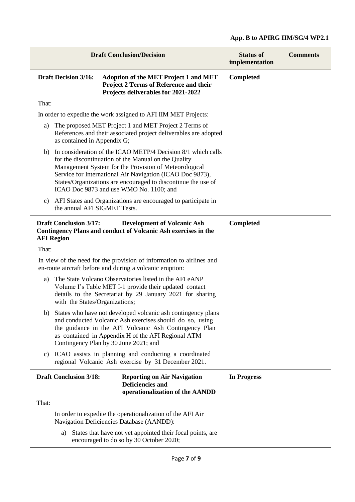|                                                    | <b>Draft Conclusion/Decision</b>                                                                                                                                                                                                                                                                                                                       | <b>Status of</b><br>implementation | <b>Comments</b> |
|----------------------------------------------------|--------------------------------------------------------------------------------------------------------------------------------------------------------------------------------------------------------------------------------------------------------------------------------------------------------------------------------------------------------|------------------------------------|-----------------|
| <b>Draft Decision 3/16:</b>                        | <b>Adoption of the MET Project 1 and MET</b><br><b>Project 2 Terms of Reference and their</b><br>Projects deliverables for 2021-2022                                                                                                                                                                                                                   | <b>Completed</b>                   |                 |
| That:                                              |                                                                                                                                                                                                                                                                                                                                                        |                                    |                 |
|                                                    | In order to expedite the work assigned to AFI IIM MET Projects:                                                                                                                                                                                                                                                                                        |                                    |                 |
| a)<br>as contained in Appendix G;                  | The proposed MET Project 1 and MET Project 2 Terms of<br>References and their associated project deliverables are adopted                                                                                                                                                                                                                              |                                    |                 |
| b)                                                 | In consideration of the ICAO METP/4 Decision 8/1 which calls<br>for the discontinuation of the Manual on the Quality<br>Management System for the Provision of Meteorological<br>Service for International Air Navigation (ICAO Doc 9873),<br>States/Organizations are encouraged to discontinue the use of<br>ICAO Doc 9873 and use WMO No. 1100; and |                                    |                 |
| C)<br>the annual AFI SIGMET Tests.                 | AFI States and Organizations are encouraged to participate in                                                                                                                                                                                                                                                                                          |                                    |                 |
| <b>Draft Conclusion 3/17:</b><br><b>AFI Region</b> | <b>Development of Volcanic Ash</b><br>Contingency Plans and conduct of Volcanic Ash exercises in the                                                                                                                                                                                                                                                   | <b>Completed</b>                   |                 |
| That:                                              |                                                                                                                                                                                                                                                                                                                                                        |                                    |                 |
|                                                    | In view of the need for the provision of information to airlines and<br>en-route aircraft before and during a volcanic eruption:                                                                                                                                                                                                                       |                                    |                 |
| a)<br>with the States/Organizations;               | The State Volcano Observatories listed in the AFI eANP<br>Volume I's Table MET I-1 provide their updated contact<br>details to the Secretariat by 29 January 2021 for sharing                                                                                                                                                                          |                                    |                 |
|                                                    | b) States who have not developed volcanic ash contingency plans<br>and conducted Volcanic Ash exercises should do so, using<br>the guidance in the AFI Volcanic Ash Contingency Plan<br>as contained in Appendix H of the AFI Regional ATM<br>Contingency Plan by 30 June 2021; and                                                                    |                                    |                 |
|                                                    | c) ICAO assists in planning and conducting a coordinated<br>regional Volcanic Ash exercise by 31 December 2021.                                                                                                                                                                                                                                        |                                    |                 |
| <b>Draft Conclusion 3/18:</b>                      | <b>Reporting on Air Navigation</b><br><b>Deficiencies and</b><br>operationalization of the AANDD                                                                                                                                                                                                                                                       | In Progress                        |                 |
| That:                                              |                                                                                                                                                                                                                                                                                                                                                        |                                    |                 |
|                                                    | In order to expedite the operationalization of the AFI Air<br>Navigation Deficiencies Database (AANDD):                                                                                                                                                                                                                                                |                                    |                 |
| a)                                                 | States that have not yet appointed their focal points, are<br>encouraged to do so by 30 October 2020;                                                                                                                                                                                                                                                  |                                    |                 |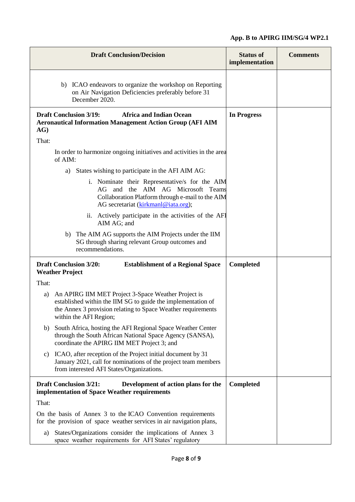| <b>Draft Conclusion/Decision</b>                                                                                                                                                                                    | <b>Status of</b><br>implementation | <b>Comments</b> |
|---------------------------------------------------------------------------------------------------------------------------------------------------------------------------------------------------------------------|------------------------------------|-----------------|
| b) ICAO endeavors to organize the workshop on Reporting<br>on Air Navigation Deficiencies preferably before 31<br>December 2020.                                                                                    |                                    |                 |
| <b>Africa and Indian Ocean</b><br><b>Draft Conclusion 3/19:</b><br><b>Aeronautical Information Management Action Group (AFI AIM</b><br>AG)                                                                          | <b>In Progress</b>                 |                 |
| That:                                                                                                                                                                                                               |                                    |                 |
| In order to harmonize ongoing initiatives and activities in the area<br>of AIM:                                                                                                                                     |                                    |                 |
| States wishing to participate in the AFI AIM AG:<br>a)                                                                                                                                                              |                                    |                 |
| i. Nominate their Representative/s for the AIM<br>AG and the AIM AG Microsoft Teams<br>Collaboration Platform through e-mail to the AIM<br>AG secretariat (kirkmanl@iata.org);                                      |                                    |                 |
| ii. Actively participate in the activities of the AFI<br>AIM AG; and                                                                                                                                                |                                    |                 |
| b) The AIM AG supports the AIM Projects under the IIM<br>SG through sharing relevant Group outcomes and<br>recommendations.                                                                                         |                                    |                 |
| <b>Draft Conclusion 3/20:</b><br><b>Establishment of a Regional Space</b><br><b>Weather Project</b>                                                                                                                 | <b>Completed</b>                   |                 |
| That:                                                                                                                                                                                                               |                                    |                 |
| An APIRG IIM MET Project 3-Space Weather Project is<br>a)<br>established within the IIM SG to guide the implementation of<br>the Annex 3 provision relating to Space Weather requirements<br>within the AFI Region; |                                    |                 |
| South Africa, hosting the AFI Regional Space Weather Center<br>b)<br>through the South African National Space Agency (SANSA),<br>coordinate the APIRG IIM MET Project 3; and                                        |                                    |                 |
| ICAO, after reception of the Project initial document by 31<br>C)<br>January 2021, call for nominations of the project team members<br>from interested AFI States/Organizations.                                    |                                    |                 |
| <b>Draft Conclusion 3/21:</b><br>Development of action plans for the<br>implementation of Space Weather requirements                                                                                                | <b>Completed</b>                   |                 |
| That:                                                                                                                                                                                                               |                                    |                 |
| On the basis of Annex 3 to the ICAO Convention requirements<br>for the provision of space weather services in air navigation plans,                                                                                 |                                    |                 |
| States/Organizations consider the implications of Annex 3<br>a)<br>space weather requirements for AFI States' regulatory                                                                                            |                                    |                 |